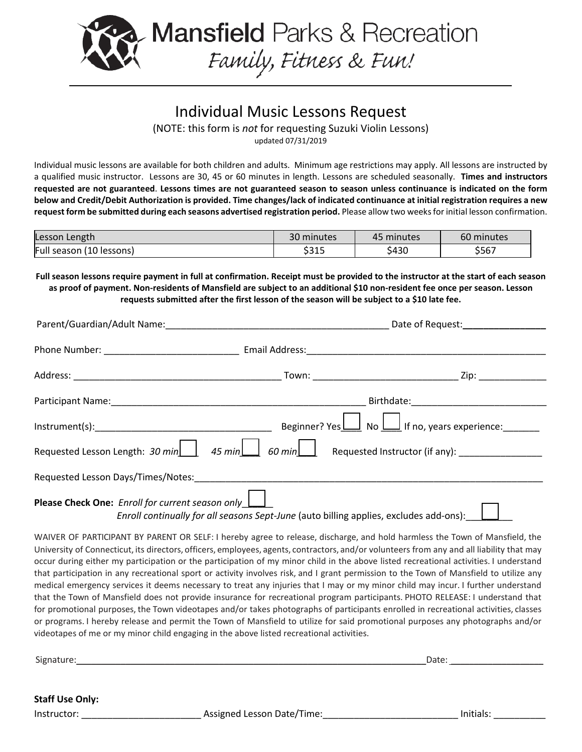

## Individual Music Lessons Request (NOTE: this form is *not* for requesting Suzuki Violin Lessons)

updated 07/31/2019

Individual music lessons are available for both children and adults. Minimum age restrictions may apply. All lessons are instructed by a qualified music instructor. Lessons are 30, 45 or 60 minutes in length. Lessons are scheduled seasonally. **Times and instructors requested are not guaranteed**. **Lessons times are not guaranteed season to season unless continuance is indicated on the form below and Credit/Debit Authorization is provided. Time changes/lack of indicated continuance at initial registration requires a new request form be submitted during each seasons advertised registration period.** Please allow two weeks for initial lesson confirmation.

| Lesson Length            | 30 minutes | 45 minutes | 60 minutes          |
|--------------------------|------------|------------|---------------------|
| Full season (10 lessons) | \$315      | \$430      | <b>Arch</b><br>১১৮7 |

**Full season lessons require payment in full at confirmation. Receipt must be provided to the instructor at the start of each season as proof of payment. Non-residents of Mansfield are subject to an additional \$10 non-resident fee once per season. Lesson requests submitted after the first lesson of the season will be subject to a \$10 late fee.**

|                                                  | Date of Request:_________________                                                             |
|--------------------------------------------------|-----------------------------------------------------------------------------------------------|
|                                                  |                                                                                               |
|                                                  |                                                                                               |
|                                                  |                                                                                               |
| $Instrument(s):$ Beginner? Yes                   | $\frac{1}{2}$ No $\underline{\bigsqcup}$ If no, years experience:                             |
|                                                  | Requested Lesson Length: 30 min 45 min 60 min Requested Instructor (if any):                  |
|                                                  |                                                                                               |
| Please Check One: Enroll for current season only | Enroll continually for all seasons Sept-June (auto billing applies, excludes add-ons): $\Box$ |

WAIVER OF PARTICIPANT BY PARENT OR SELF: I hereby agree to release, discharge, and hold harmless the Town of Mansfield, the University of Connecticut, its directors, officers, employees, agents, contractors, and/or volunteers from any and all liability that may occur during either my participation or the participation of my minor child in the above listed recreational activities. I understand that participation in any recreational sport or activity involves risk, and I grant permission to the Town of Mansfield to utilize any medical emergency services it deems necessary to treat any injuries that I may or my minor child may incur. I further understand that the Town of Mansfield does not provide insurance for recreational program participants. PHOTO RELEASE: I understand that for promotional purposes, the Town videotapes and/or takes photographs of participants enrolled in recreational activities, classes or programs. I hereby release and permit the Town of Mansfield to utilize for said promotional purposes any photographs and/or videotapes of me or my minor child engaging in the above listed recreational activities.

Signature:\_\_\_\_\_\_\_\_\_\_\_\_\_\_\_\_\_\_\_\_\_\_\_\_\_\_\_\_\_\_\_\_\_\_\_\_\_\_\_\_\_\_\_\_\_\_\_\_\_\_\_\_\_\_\_\_\_\_\_\_\_\_\_\_\_\_\_\_\_\_\_Date: \_\_\_\_\_\_\_\_\_\_\_\_\_\_\_\_\_\_\_\_

**Staff Use Only:**

Instructor: \_\_\_\_\_\_\_\_\_\_\_\_\_\_\_\_\_\_\_\_\_\_\_ Assigned Lesson Date/Time:\_\_\_\_\_\_\_\_\_\_\_\_\_\_\_\_\_\_\_\_\_\_\_\_\_\_ Initials: \_\_\_\_\_\_\_\_\_\_